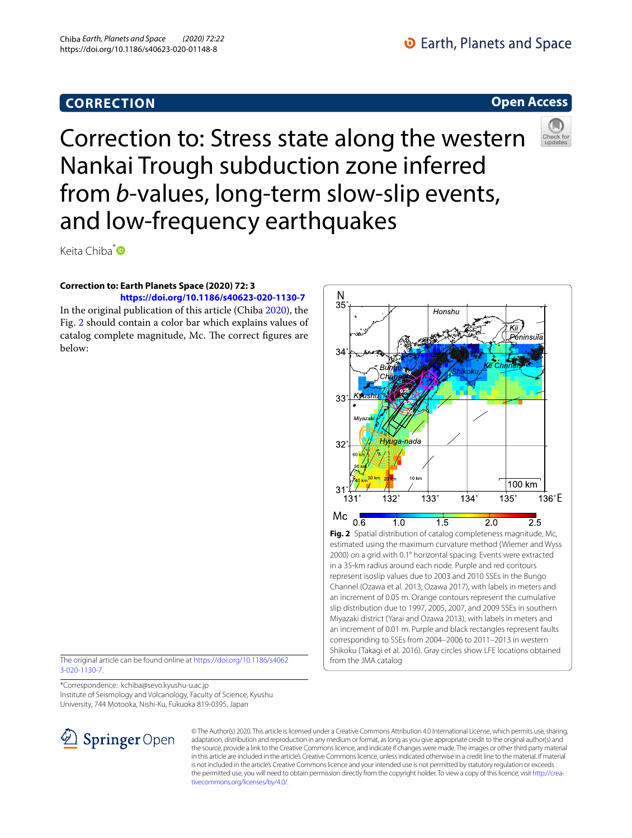# **CORRECTION**

# **D** Earth, Planets and Space

## **Open Access**



Correction to: Stress state along the western Nankai Trough subduction zone inferred from *b*-values, long-term slow-slip events, and low-frequency earthquakes

Keita Chiba<sup>[\\*](http://orcid.org/0000-0002-2841-3371)</sup>

### **Correction to: Earth Planets Space (2020) 72: 3**

**<https://doi.org/10.1186/s40623-020-1130-7>** In the original publication of this article (Chiba [2020\)](#page-1-0), the Fig. [2](#page-0-0) should contain a color bar which explains values of catalog complete magnitude, Mc. The correct figures are below:

The original article can be found online at [https://doi.org/10.1186/s4062](https://doi.org/10.1186/s40623-020-1130-7) [3-020-1130-7](https://doi.org/10.1186/s40623-020-1130-7).

\*Correspondence: kchiba@sevo.kyushu-u.ac.jp Institute of Seismology and Volcanology, Faculty of Science, Kyushu University, 744 Motooka, Nishi-Ku, Fukuoka 819-0395, Japan



<span id="page-0-0"></span>© The Author(s) 2020. This article is licensed under a Creative Commons Attribution 4.0 International License, which permits use, sharing, adaptation, distribution and reproduction in any medium or format, as long as you give appropriate credit to the original author(s) and the source, provide a link to the Creative Commons licence, and indicate if changes were made. The images or other third party material in this article are included in the article's Creative Commons licence, unless indicated otherwise in a credit line to the material. If material is not included in the article's Creative Commons licence and your intended use is not permitted by statutory regulation or exceeds the permitted use, you will need to obtain permission directly from the copyright holder. To view a copy of this licence, visit [http://crea](http://creativecommons.org/licenses/by/4.0/)[tivecommons.org/licenses/by/4.0/.](http://creativecommons.org/licenses/by/4.0/)